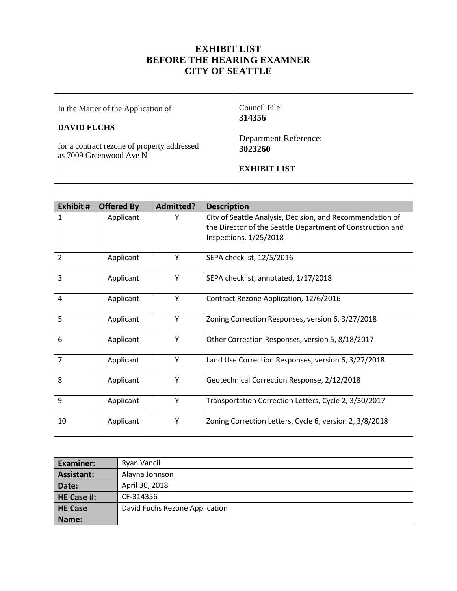## **EXHIBIT LIST BEFORE THE HEARING EXAMNER CITY OF SEATTLE**

 $\mathsf{r}$ 

| In the Matter of the Application of                                    | Council File:<br>314356                 |
|------------------------------------------------------------------------|-----------------------------------------|
| <b>DAVID FUCHS</b>                                                     |                                         |
| for a contract rezone of property addressed<br>as 7009 Greenwood Ave N | <b>Department Reference:</b><br>3023260 |
|                                                                        | <b>EXHIBIT LIST</b>                     |
|                                                                        |                                         |

┯

| Exhibit #      | <b>Offered By</b> | Admitted? | <b>Description</b>                                         |
|----------------|-------------------|-----------|------------------------------------------------------------|
| $\mathbf{1}$   | Applicant         | Y         | City of Seattle Analysis, Decision, and Recommendation of  |
|                |                   |           | the Director of the Seattle Department of Construction and |
|                |                   |           | Inspections, 1/25/2018                                     |
| $\overline{2}$ | Applicant         | Y         | SEPA checklist, 12/5/2016                                  |
| 3              | Applicant         | Υ         | SEPA checklist, annotated, 1/17/2018                       |
| 4              | Applicant         | Y         | Contract Rezone Application, 12/6/2016                     |
| 5              | Applicant         | Y         | Zoning Correction Responses, version 6, 3/27/2018          |
| 6              | Applicant         | Y         | Other Correction Responses, version 5, 8/18/2017           |
| $\overline{7}$ | Applicant         | Y         | Land Use Correction Responses, version 6, 3/27/2018        |
| 8              | Applicant         | Y         | Geotechnical Correction Response, 2/12/2018                |
| 9              | Applicant         | Y         | Transportation Correction Letters, Cycle 2, 3/30/2017      |
| 10             | Applicant         | Y         | Zoning Correction Letters, Cycle 6, version 2, 3/8/2018    |

| <b>Examiner:</b> | Ryan Vancil                    |  |  |
|------------------|--------------------------------|--|--|
| Assistant:       | Alayna Johnson                 |  |  |
| Date:            | April 30, 2018                 |  |  |
| HE Case #:       | CF-314356                      |  |  |
| <b>HE Case</b>   | David Fuchs Rezone Application |  |  |
| Name:            |                                |  |  |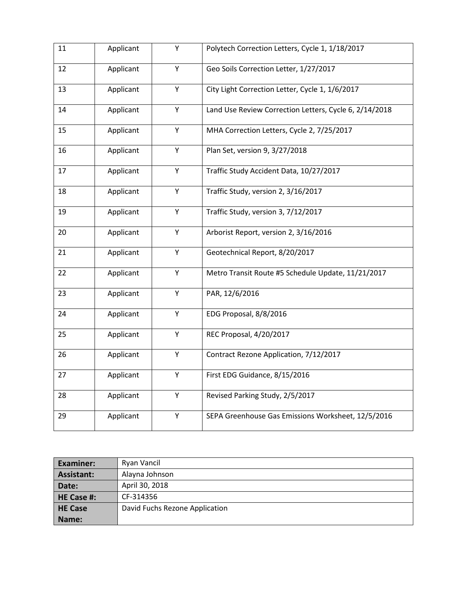| 11 | Applicant | Y | Polytech Correction Letters, Cycle 1, 1/18/2017        |
|----|-----------|---|--------------------------------------------------------|
| 12 | Applicant | Υ | Geo Soils Correction Letter, 1/27/2017                 |
| 13 | Applicant | Υ | City Light Correction Letter, Cycle 1, 1/6/2017        |
| 14 | Applicant | Υ | Land Use Review Correction Letters, Cycle 6, 2/14/2018 |
| 15 | Applicant | Υ | MHA Correction Letters, Cycle 2, 7/25/2017             |
| 16 | Applicant | Υ | Plan Set, version 9, 3/27/2018                         |
| 17 | Applicant | Y | Traffic Study Accident Data, 10/27/2017                |
| 18 | Applicant | Y | Traffic Study, version 2, 3/16/2017                    |
| 19 | Applicant | Y | Traffic Study, version 3, 7/12/2017                    |
| 20 | Applicant | Y | Arborist Report, version 2, 3/16/2016                  |
| 21 | Applicant | Y | Geotechnical Report, 8/20/2017                         |
| 22 | Applicant | Υ | Metro Transit Route #5 Schedule Update, 11/21/2017     |
| 23 | Applicant | Υ | PAR, 12/6/2016                                         |
| 24 | Applicant | Υ | EDG Proposal, 8/8/2016                                 |
| 25 | Applicant | Y | REC Proposal, 4/20/2017                                |
| 26 | Applicant | Y | Contract Rezone Application, 7/12/2017                 |
| 27 | Applicant | Υ | First EDG Guidance, 8/15/2016                          |
| 28 | Applicant | Υ | Revised Parking Study, 2/5/2017                        |
| 29 | Applicant | Υ | SEPA Greenhouse Gas Emissions Worksheet, 12/5/2016     |

| <b>Examiner:</b> | Ryan Vancil                    |  |  |
|------------------|--------------------------------|--|--|
| Assistant:       | Alayna Johnson                 |  |  |
| Date:            | April 30, 2018                 |  |  |
| HE Case #:       | CF-314356                      |  |  |
| <b>HE Case</b>   | David Fuchs Rezone Application |  |  |
| Name:            |                                |  |  |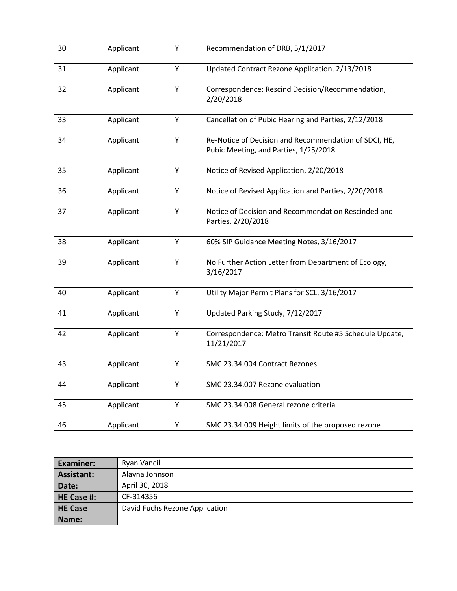| 30 | Applicant | Y | Recommendation of DRB, 5/1/2017                                                                |
|----|-----------|---|------------------------------------------------------------------------------------------------|
| 31 | Applicant | Y | Updated Contract Rezone Application, 2/13/2018                                                 |
| 32 | Applicant | Y | Correspondence: Rescind Decision/Recommendation,<br>2/20/2018                                  |
| 33 | Applicant | Y | Cancellation of Pubic Hearing and Parties, 2/12/2018                                           |
| 34 | Applicant | Y | Re-Notice of Decision and Recommendation of SDCI, HE,<br>Pubic Meeting, and Parties, 1/25/2018 |
| 35 | Applicant | Y | Notice of Revised Application, 2/20/2018                                                       |
| 36 | Applicant | Y | Notice of Revised Application and Parties, 2/20/2018                                           |
| 37 | Applicant | Υ | Notice of Decision and Recommendation Rescinded and<br>Parties, 2/20/2018                      |
| 38 | Applicant | Y | 60% SIP Guidance Meeting Notes, 3/16/2017                                                      |
| 39 | Applicant | Υ | No Further Action Letter from Department of Ecology,<br>3/16/2017                              |
| 40 | Applicant | Υ | Utility Major Permit Plans for SCL, 3/16/2017                                                  |
| 41 | Applicant | Y | Updated Parking Study, 7/12/2017                                                               |
| 42 | Applicant | Y | Correspondence: Metro Transit Route #5 Schedule Update,<br>11/21/2017                          |
| 43 | Applicant | Υ | SMC 23.34.004 Contract Rezones                                                                 |
| 44 | Applicant | Υ | SMC 23.34.007 Rezone evaluation                                                                |
| 45 | Applicant | Υ | SMC 23.34.008 General rezone criteria                                                          |
| 46 | Applicant | Y | SMC 23.34.009 Height limits of the proposed rezone                                             |

| <b>Examiner:</b>  | Ryan Vancil                    |  |  |
|-------------------|--------------------------------|--|--|
| <b>Assistant:</b> | Alayna Johnson                 |  |  |
| Date:             | April 30, 2018                 |  |  |
| HE Case #:        | CF-314356                      |  |  |
| <b>HE Case</b>    | David Fuchs Rezone Application |  |  |
| Name:             |                                |  |  |